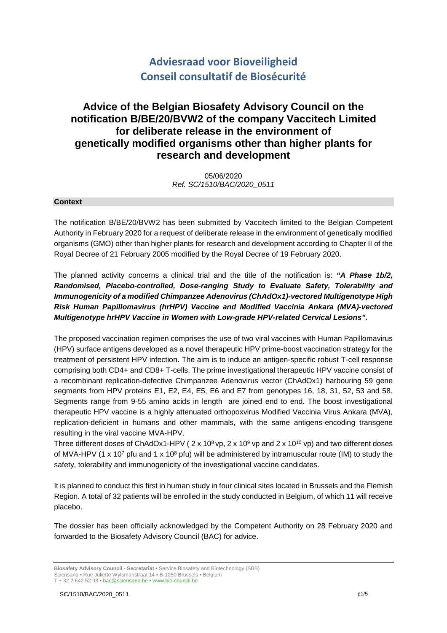# **Adviesraad voor Bioveiligheid Conseil consultatif de Biosécurité**

# **Advice of the Belgian Biosafety Advisory Council on the notification B/BE/20/BVW2 of the company Vaccitech Limited for deliberate release in the environment of genetically modified organisms other than higher plants for research and development**

05/06/2020 *Ref. SC/1510/BAC/2020\_0511*

### **Context**

The notification B/BE/20/BVW2 has been submitted by Vaccitech limited to the Belgian Competent Authority in February 2020 for a request of deliberate release in the environment of genetically modified organisms (GMO) other than higher plants for research and development according to Chapter II of the Royal Decree of 21 February 2005 modified by the Royal Decree of 19 February 2020.

The planned activity concerns a clinical trial and the title of the notification is: *"A Phase 1b/2, Randomised, Placebo-controlled, Dose-ranging Study to Evaluate Safety, Tolerability and Immunogenicity of a modified Chimpanzee Adenovirus (ChAdOx1)-vectored Multigenotype High Risk Human Papillomavirus (hrHPV) Vaccine and Modified Vaccinia Ankara (MVA)-vectored Multigenotype hrHPV Vaccine in Women with Low-grade HPV-related Cervical Lesions".*

The proposed vaccination regimen comprises the use of two viral vaccines with Human Papillomavirus (HPV) surface antigens developed as a novel therapeutic HPV prime-boost vaccination strategy for the treatment of persistent HPV infection. The aim is to induce an antigen-specific robust T-cell response comprising both CD4+ and CD8+ T-cells. The prime investigational therapeutic HPV vaccine consist of a recombinant replication-defective Chimpanzee Adenovirus vector (ChAdOx1) harbouring 59 gene segments from HPV proteins E1, E2, E4, E5, E6 and E7 from genotypes 16, 18, 31, 52, 53 and 58. Segments range from 9-55 amino acids in length are joined end to end. The boost investigational therapeutic HPV vaccine is a highly attenuated orthopoxvirus Modified Vaccinia Virus Ankara (MVA), replication-deficient in humans and other mammals, with the same antigens-encoding transgene resulting in the viral vaccine MVA-HPV.

Three different doses of ChAdOx1-HPV ( $2 \times 10^8$  vp,  $2 \times 10^9$  vp and  $2 \times 10^{10}$  vp) and two different doses of MVA-HPV (1 x 10<sup>7</sup> pfu and 1 x 10<sup>8</sup> pfu) will be administered by intramuscular route (IM) to study the safety, tolerability and immunogenicity of the investigational vaccine candidates.

It is planned to conduct this first in human study in four clinical sites located in Brussels and the Flemish Region. A total of 32 patients will be enrolled in the study conducted in Belgium, of which 11 will receive placebo.

The dossier has been officially acknowledged by the Competent Authority on 28 February 2020 and forwarded to the Biosafety Advisory Council (BAC) for advice.

T + 32 2 642 52 93 **•** bac@sciensano.be **•** www.bio-council.be

**Biosafety Advisory Council - Secretariat •** Service Biosafety and Biotechnology (SBB) Sciensano **•** Rue Juliette Wytsmanstraat 14 **•** B-1050 Brussels **•** Belgium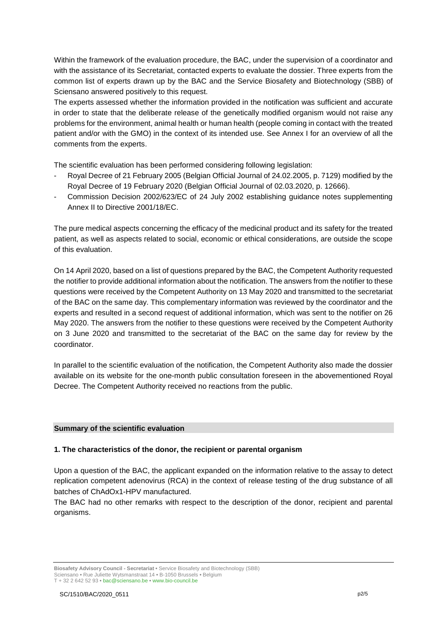Within the framework of the evaluation procedure, the BAC, under the supervision of a coordinator and with the assistance of its Secretariat, contacted experts to evaluate the dossier. Three experts from the common list of experts drawn up by the BAC and the Service Biosafety and Biotechnology (SBB) of Sciensano answered positively to this request.

The experts assessed whether the information provided in the notification was sufficient and accurate in order to state that the deliberate release of the genetically modified organism would not raise any problems for the environment, animal health or human health (people coming in contact with the treated patient and/or with the GMO) in the context of its intended use. See Annex I for an overview of all the comments from the experts.

The scientific evaluation has been performed considering following legislation:

- Royal Decree of 21 February 2005 (Belgian Official Journal of 24.02.2005, p. 7129) modified by the Royal Decree of 19 February 2020 (Belgian Official Journal of 02.03.2020, p. 12666).
- Commission Decision 2002/623/EC of 24 July 2002 establishing guidance notes supplementing Annex II to Directive 2001/18/EC.

The pure medical aspects concerning the efficacy of the medicinal product and its safety for the treated patient, as well as aspects related to social, economic or ethical considerations, are outside the scope of this evaluation.

On 14 April 2020, based on a list of questions prepared by the BAC, the Competent Authority requested the notifier to provide additional information about the notification. The answers from the notifier to these questions were received by the Competent Authority on 13 May 2020 and transmitted to the secretariat of the BAC on the same day. This complementary information was reviewed by the coordinator and the experts and resulted in a second request of additional information, which was sent to the notifier on 26 May 2020. The answers from the notifier to these questions were received by the Competent Authority on 3 June 2020 and transmitted to the secretariat of the BAC on the same day for review by the coordinator.

In parallel to the scientific evaluation of the notification, the Competent Authority also made the dossier available on its website for the one-month public consultation foreseen in the abovementioned Royal Decree. The Competent Authority received no reactions from the public.

# **Summary of the scientific evaluation**

#### **1. The characteristics of the donor, the recipient or parental organism**

Upon a question of the BAC, the applicant expanded on the information relative to the assay to detect replication competent adenovirus (RCA) in the context of release testing of the drug substance of all batches of ChAdOx1-HPV manufactured.

The BAC had no other remarks with respect to the description of the donor, recipient and parental organisms.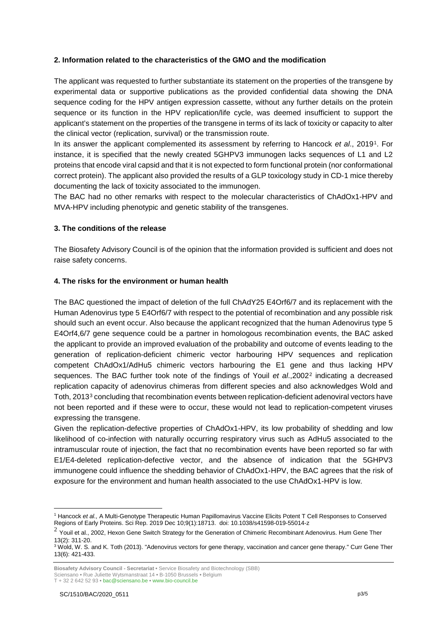# **2. Information related to the characteristics of the GMO and the modification**

The applicant was requested to further substantiate its statement on the properties of the transgene by experimental data or supportive publications as the provided confidential data showing the DNA sequence coding for the HPV antigen expression cassette, without any further details on the protein sequence or its function in the HPV replication/life cycle, was deemed insufficient to support the applicant's statement on the properties of the transgene in terms of its lack of toxicity or capacity to alter the clinical vector (replication, survival) or the transmission route.

In its answer the applicant complemented its assessment by referring to Hancock *et al*., 2019[1.](#page-2-0) For instance, it is specified that the newly created 5GHPV3 immunogen lacks sequences of L1 and L2 proteins that encode viral capsid and that it is not expected to form functional protein (nor conformational correct protein). The applicant also provided the results of a GLP toxicology study in CD-1 mice thereby documenting the lack of toxicity associated to the immunogen.

The BAC had no other remarks with respect to the molecular characteristics of ChAdOx1-HPV and MVA-HPV including phenotypic and genetic stability of the transgenes.

# **3. The conditions of the release**

The Biosafety Advisory Council is of the opinion that the information provided is sufficient and does not raise safety concerns.

# **4. The risks for the environment or human health**

The BAC questioned the impact of deletion of the full ChAdY25 E4Orf6/7 and its replacement with the Human Adenovirus type 5 E4Orf6/7 with respect to the potential of recombination and any possible risk should such an event occur. Also because the applicant recognized that the human Adenovirus type 5 E4Orf4,6/7 gene sequence could be a partner in homologous recombination events, the BAC asked the applicant to provide an improved evaluation of the probability and outcome of events leading to the generation of replication-deficient chimeric vector harbouring HPV sequences and replication competent ChAdOx1/AdHu5 chimeric vectors harbouring the E1 gene and thus lacking HPV sequences. The BAC further took note of the findings of Youil *et al*.,2002[2](#page-2-1) indicating a decreased replication capacity of adenovirus chimeras from different species and also acknowledges Wold and Toth, 2013[3](#page-2-2) concluding that recombination events between replication-deficient adenoviral vectors have not been reported and if these were to occur, these would not lead to replication-competent viruses expressing the transgene.

Given the replication-defective properties of ChAdOx1-HPV, its low probability of shedding and low likelihood of co-infection with naturally occurring respiratory virus such as AdHu5 associated to the intramuscular route of injection, the fact that no recombination events have been reported so far with E1/E4-deleted replication-defective vector, and the absence of indication that the 5GHPV3 immunogene could influence the shedding behavior of ChAdOx1-HPV, the BAC agrees that the risk of exposure for the environment and human health associated to the use ChAdOx1-HPV is low.

Sciensano **•** Rue Juliette Wytsmanstraat 14 **•** B-1050 Brussels **•** Belgium

<span id="page-2-0"></span><sup>&</sup>lt;u>.</u> <sup>1</sup> Hancock *et al.,* A Multi-Genotype Therapeutic Human Papillomavirus Vaccine Elicits Potent T Cell Responses to Conserved Regions of Early Proteins. Sci Rep. 2019 Dec 10;9(1):18713. doi: 10.1038/s41598-019-55014-z

<span id="page-2-1"></span> $2$  Youil et al., 2002, Hexon Gene Switch Strategy for the Generation of Chimeric Recombinant Adenovirus. Hum Gene Ther 13(2): 311-20.

<span id="page-2-2"></span><sup>&</sup>lt;sup>3</sup> Wold, W. S. and K. Toth (2013). "Adenovirus vectors for gene therapy, vaccination and cancer gene therapy." Curr Gene Ther 13(6): 421-433.

**Biosafety Advisory Council - Secretariat •** Service Biosafety and Biotechnology (SBB)

T + 32 2 642 52 93 **•** bac@sciensano.be **•** www.bio-council.be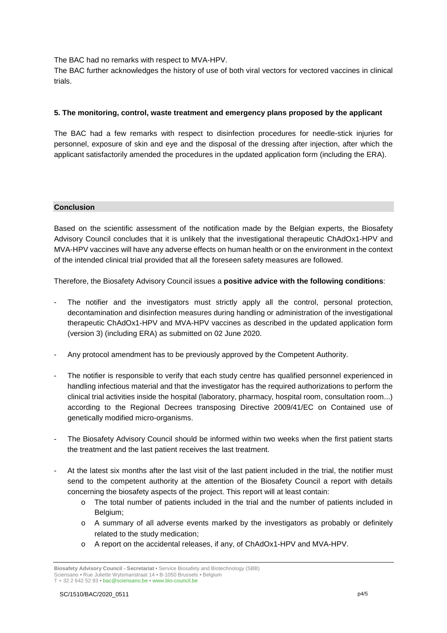The BAC had no remarks with respect to MVA-HPV.

The BAC further acknowledges the history of use of both viral vectors for vectored vaccines in clinical trials.

# **5. The monitoring, control, waste treatment and emergency plans proposed by the applicant**

The BAC had a few remarks with respect to disinfection procedures for needle-stick injuries for personnel, exposure of skin and eye and the disposal of the dressing after injection, after which the applicant satisfactorily amended the procedures in the updated application form (including the ERA).

# **Conclusion**

Based on the scientific assessment of the notification made by the Belgian experts, the Biosafety Advisory Council concludes that it is unlikely that the investigational therapeutic ChAdOx1-HPV and MVA-HPV vaccines will have any adverse effects on human health or on the environment in the context of the intended clinical trial provided that all the foreseen safety measures are followed.

Therefore, the Biosafety Advisory Council issues a **positive advice with the following conditions**:

- The notifier and the investigators must strictly apply all the control, personal protection, decontamination and disinfection measures during handling or administration of the investigational therapeutic ChAdOx1-HPV and MVA-HPV vaccines as described in the updated application form (version 3) (including ERA) as submitted on 02 June 2020.
- Any protocol amendment has to be previously approved by the Competent Authority.
- The notifier is responsible to verify that each study centre has qualified personnel experienced in handling infectious material and that the investigator has the required authorizations to perform the clinical trial activities inside the hospital (laboratory, pharmacy, hospital room, consultation room...) according to the Regional Decrees transposing Directive 2009/41/EC on Contained use of genetically modified micro-organisms.
- The Biosafety Advisory Council should be informed within two weeks when the first patient starts the treatment and the last patient receives the last treatment.
- At the latest six months after the last visit of the last patient included in the trial, the notifier must send to the competent authority at the attention of the Biosafety Council a report with details concerning the biosafety aspects of the project. This report will at least contain:
	- o The total number of patients included in the trial and the number of patients included in Belgium;
	- o A summary of all adverse events marked by the investigators as probably or definitely related to the study medication;
	- o A report on the accidental releases, if any, of ChAdOx1-HPV and MVA-HPV.

**Biosafety Advisory Council - Secretariat •** Service Biosafety and Biotechnology (SBB) Sciensano **•** Rue Juliette Wytsmanstraat 14 **•** B-1050 Brussels **•** Belgium T + 32 2 642 52 93 **•** bac@sciensano.be **•** www.bio-council.be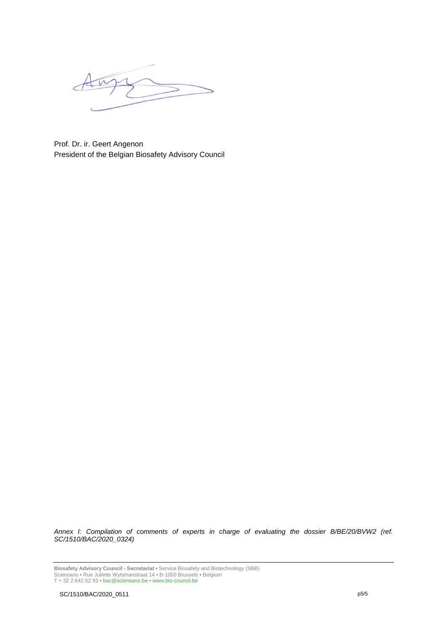Prof. Dr. ir. Geert Angenon President of the Belgian Biosafety Advisory Council

*Annex I: Compilation of comments of experts in charge of evaluating the dossier B/BE/20/BVW2 (ref. SC/1510/BAC/2020\_0324)*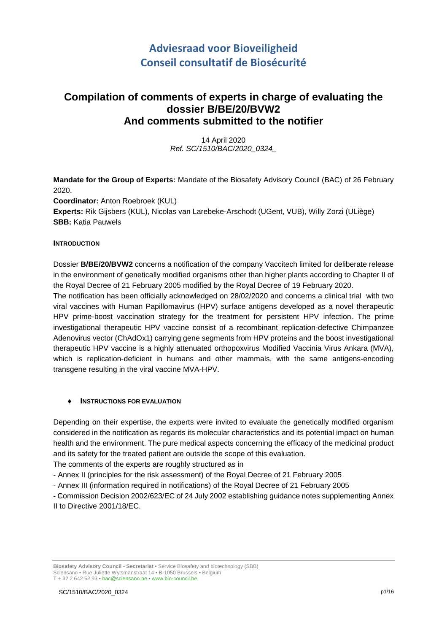# **Adviesraad voor Bioveiligheid Conseil consultatif de Biosécurité**

# **Compilation of comments of experts in charge of evaluating the dossier B/BE/20/BVW2 And comments submitted to the notifier**

14 April 2020 *Ref. SC/1510/BAC/2020\_0324\_*

**Mandate for the Group of Experts:** Mandate of the Biosafety Advisory Council (BAC) of 26 February 2020. **Coordinator:** Anton Roebroek (KUL) **Experts:** Rik Gijsbers (KUL), Nicolas van Larebeke-Arschodt (UGent, VUB), Willy Zorzi (ULiège)

**SBB:** Katia Pauwels

# **INTRODUCTION**

Dossier **B/BE/20/BVW2** concerns a notification of the company Vaccitech limited for deliberate release in the environment of genetically modified organisms other than higher plants according to Chapter II of the Royal Decree of 21 February 2005 modified by the Royal Decree of 19 February 2020.

The notification has been officially acknowledged on 28/02/2020 and concerns a clinical trial with two viral vaccines with Human Papillomavirus (HPV) surface antigens developed as a novel therapeutic HPV prime-boost vaccination strategy for the treatment for persistent HPV infection. The prime investigational therapeutic HPV vaccine consist of a recombinant replication-defective Chimpanzee Adenovirus vector (ChAdOx1) carrying gene segments from HPV proteins and the boost investigational therapeutic HPV vaccine is a highly attenuated orthopoxvirus Modified Vaccinia Virus Ankara (MVA), which is replication-deficient in humans and other mammals, with the same antigens-encoding transgene resulting in the viral vaccine MVA-HPV.

# ♦ **INSTRUCTIONS FOR EVALUATION**

Depending on their expertise, the experts were invited to evaluate the genetically modified organism considered in the notification as regards its molecular characteristics and its potential impact on human health and the environment. The pure medical aspects concerning the efficacy of the medicinal product and its safety for the treated patient are outside the scope of this evaluation.

The comments of the experts are roughly structured as in

- Annex II (principles for the risk assessment) of the Royal Decree of 21 February 2005
- Annex III (information required in notifications) of the Royal Decree of 21 February 2005

- Commission Decision 2002/623/EC of 24 July 2002 establishing guidance notes supplementing Annex II to Directive 2001/18/EC.

**Biosafety Advisory Council - Secretariat •** Service Biosafety and biotechnology (SBB) Sciensano • Rue Juliette Wytsmanstraat 14 **•** B-1050 Brussels **•** Belgium T + 32 2 642 52 93 **•** bac@sciensano.be **•** www.bio-council.be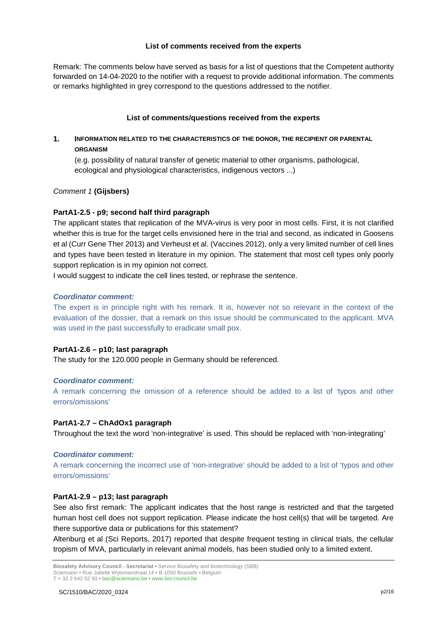# **List of comments received from the experts**

Remark: The comments below have served as basis for a list of questions that the Competent authority forwarded on 14-04-2020 to the notifier with a request to provide additional information. The comments or remarks highlighted in grey correspond to the questions addressed to the notifier.

# **List of comments/questions received from the experts**

# **1. INFORMATION RELATED TO THE CHARACTERISTICS OF THE DONOR, THE RECIPIENT OR PARENTAL ORGANISM**

(e.g. possibility of natural transfer of genetic material to other organisms, pathological, ecological and physiological characteristics, indigenous vectors ...)

*Comment 1* **(Gijsbers)**

# **PartA1-2.5 - p9; second half third paragraph**

The applicant states that replication of the MVA-virus is very poor in most cells. First, it is not clarified whether this is true for the target cells envisioned here in the trial and second, as indicated in Goosens et al (Curr Gene Ther 2013) and Verheust et al. (Vaccines 2012), only a very limited number of cell lines and types have been tested in literature in my opinion. The statement that most cell types only poorly support replication is in my opinion not correct.

I would suggest to indicate the cell lines tested, or rephrase the sentence.

#### *Coordinator comment:*

The expert is in principle right with his remark. It is, however not so relevant in the context of the evaluation of the dossier, that a remark on this issue should be communicated to the applicant. MVA was used in the past successfully to eradicate small pox.

# **PartA1-2.6 – p10; last paragraph**

The study for the 120.000 people in Germany should be referenced.

# *Coordinator comment:*

A remark concerning the omission of a reference should be added to a list of 'typos and other errors/omissions'

#### **PartA1-2.7 – ChAdOx1 paragraph**

Throughout the text the word 'non-integrative' is used. This should be replaced with 'non-integrating'

#### *Coordinator comment:*

A remark concerning the incorrect use of 'non-integrative' should be added to a list of 'typos and other errors/omissions'

#### **PartA1-2.9 – p13; last paragraph**

See also first remark: The applicant indicates that the host range is restricted and that the targeted human host cell does not support replication. Please indicate the host cell(s) that will be targeted. Are there supportive data or publications for this statement?

Altenburg et al (Sci Reports, 2017) reported that despite frequent testing in clinical trials, the cellular tropism of MVA, particularly in relevant animal models, has been studied only to a limited extent.

**Biosafety Advisory Council - Secretariat •** Service Biosafety and biotechnology (SBB) Sciensano • Rue Juliette Wytsmanstraat 14 **•** B-1050 Brussels **•** Belgium T + 32 2 642 52 93 **•** bac@sciensano.be **•** www.bio-council.be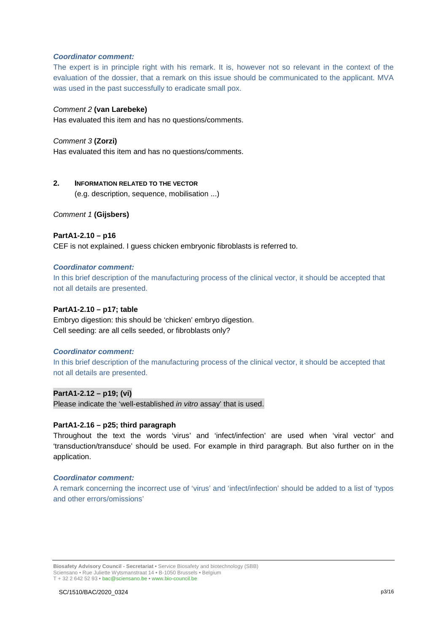#### *Coordinator comment:*

The expert is in principle right with his remark. It is, however not so relevant in the context of the evaluation of the dossier, that a remark on this issue should be communicated to the applicant. MVA was used in the past successfully to eradicate small pox.

# *Comment 2* **(van Larebeke)**

Has evaluated this item and has no questions/comments.

# *Comment 3* **(Zorzi)**

Has evaluated this item and has no questions/comments.

# **2. INFORMATION RELATED TO THE VECTOR**

(e.g. description, sequence, mobilisation ...)

# *Comment 1* **(Gijsbers)**

# **PartA1-2.10 – p16**

CEF is not explained. I guess chicken embryonic fibroblasts is referred to.

#### *Coordinator comment:*

In this brief description of the manufacturing process of the clinical vector, it should be accepted that not all details are presented.

# **PartA1-2.10 – p17; table**

Embryo digestion: this should be 'chicken' embryo digestion. Cell seeding: are all cells seeded, or fibroblasts only?

# *Coordinator comment:*

In this brief description of the manufacturing process of the clinical vector, it should be accepted that not all details are presented.

# **PartA1-2.12 – p19; (vi)**

Please indicate the 'well-established *in vitro* assay' that is used.

#### **PartA1-2.16 – p25; third paragraph**

Throughout the text the words 'virus' and 'infect/infection' are used when 'viral vector' and 'transduction/transduce' should be used. For example in third paragraph. But also further on in the application.

#### *Coordinator comment:*

A remark concerning the incorrect use of 'virus' and 'infect/infection' should be added to a list of 'typos and other errors/omissions'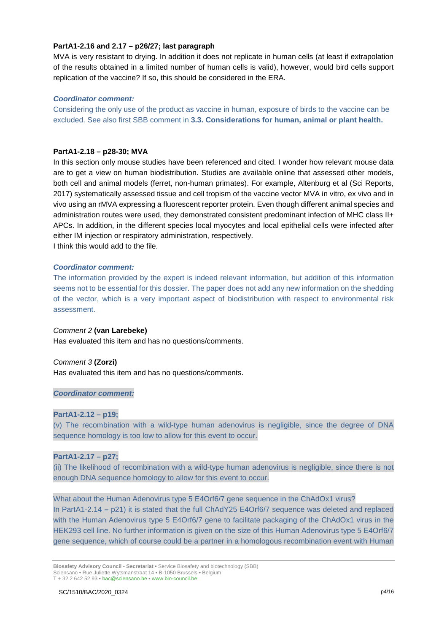#### **PartA1-2.16 and 2.17 – p26/27; last paragraph**

MVA is very resistant to drying. In addition it does not replicate in human cells (at least if extrapolation of the results obtained in a limited number of human cells is valid), however, would bird cells support replication of the vaccine? If so, this should be considered in the ERA.

#### *Coordinator comment:*

Considering the only use of the product as vaccine in human, exposure of birds to the vaccine can be excluded. See also first SBB comment in **3.3. Considerations for human, animal or plant health.**

#### **PartA1-2.18 – p28-30; MVA**

In this section only mouse studies have been referenced and cited. I wonder how relevant mouse data are to get a view on human biodistribution. Studies are available online that assessed other models, both cell and animal models (ferret, non-human primates). For example, Altenburg et al (Sci Reports, 2017) systematically assessed tissue and cell tropism of the vaccine vector MVA in vitro, ex vivo and in vivo using an rMVA expressing a fluorescent reporter protein. Even though different animal species and administration routes were used, they demonstrated consistent predominant infection of MHC class II+ APCs. In addition, in the different species local myocytes and local epithelial cells were infected after either IM injection or respiratory administration, respectively.

I think this would add to the file.

# *Coordinator comment:*

The information provided by the expert is indeed relevant information, but addition of this information seems not to be essential for this dossier. The paper does not add any new information on the shedding of the vector, which is a very important aspect of biodistribution with respect to environmental risk assessment.

#### *Comment 2* **(van Larebeke)**

Has evaluated this item and has no questions/comments.

# *Comment 3* **(Zorzi)**

Has evaluated this item and has no questions/comments.

# *Coordinator comment:*

#### **PartA1-2.12 – p19;**

(v) The recombination with a wild-type human adenovirus is negligible, since the degree of DNA sequence homology is too low to allow for this event to occur.

#### **PartA1-2.17 – p27;**

(ii) The likelihood of recombination with a wild-type human adenovirus is negligible, since there is not enough DNA sequence homology to allow for this event to occur.

What about the Human Adenovirus type 5 E4Orf6/7 gene sequence in the ChAdOx1 virus? In PartA1-2.14 **–** p21) it is stated that the full ChAdY25 E4Orf6/7 sequence was deleted and replaced with the Human Adenovirus type 5 E4Orf6/7 gene to facilitate packaging of the ChAdOx1 virus in the HEK293 cell line. No further information is given on the size of this Human Adenovirus type 5 E4Orf6/7 gene sequence, which of course could be a partner in a homologous recombination event with Human

**Biosafety Advisory Council - Secretariat •** Service Biosafety and biotechnology (SBB) Sciensano • Rue Juliette Wytsmanstraat 14 **•** B-1050 Brussels **•** Belgium T + 32 2 642 52 93 **•** bac@sciensano.be **•** www.bio-council.be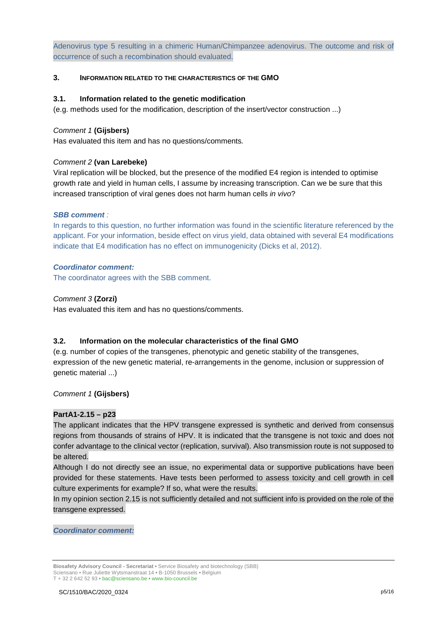Adenovirus type 5 resulting in a chimeric Human/Chimpanzee adenovirus. The outcome and risk of occurrence of such a recombination should evaluated.

# **3. INFORMATION RELATED TO THE CHARACTERISTICS OF THE GMO**

#### **3.1. Information related to the genetic modification**

(e.g. methods used for the modification, description of the insert/vector construction ...)

#### *Comment 1* **(Gijsbers)**

Has evaluated this item and has no questions/comments*.*

# *Comment 2* **(van Larebeke)**

Viral replication will be blocked, but the presence of the modified E4 region is intended to optimise growth rate and yield in human cells, I assume by increasing transcription. Can we be sure that this increased transcription of viral genes does not harm human cells *in vivo*?

# *SBB comment :*

In regards to this question, no further information was found in the scientific literature referenced by the applicant. For your information, beside effect on virus yield, data obtained with several E4 modifications indicate that E4 modification has no effect on immunogenicity (Dicks et al, 2012).

# *Coordinator comment:*

The coordinator agrees with the SBB comment.

# *Comment 3* **(Zorzi)**

Has evaluated this item and has no questions/comments.

# **3.2. Information on the molecular characteristics of the final GMO**

(e.g. number of copies of the transgenes, phenotypic and genetic stability of the transgenes, expression of the new genetic material, re-arrangements in the genome, inclusion or suppression of genetic material ...)

#### *Comment 1* **(Gijsbers)**

#### **PartA1-2.15 – p23**

The applicant indicates that the HPV transgene expressed is synthetic and derived from consensus regions from thousands of strains of HPV. It is indicated that the transgene is not toxic and does not confer advantage to the clinical vector (replication, survival). Also transmission route is not supposed to be altered.

Although I do not directly see an issue, no experimental data or supportive publications have been provided for these statements. Have tests been performed to assess toxicity and cell growth in cell culture experiments for example? If so, what were the results.

In my opinion section 2.15 is not sufficiently detailed and not sufficient info is provided on the role of the transgene expressed.

*Coordinator comment:*

**Biosafety Advisory Council - Secretariat •** Service Biosafety and biotechnology (SBB) Sciensano • Rue Juliette Wytsmanstraat 14 **•** B-1050 Brussels **•** Belgium T + 32 2 642 52 93 **•** bac@sciensano.be **•** www.bio-council.be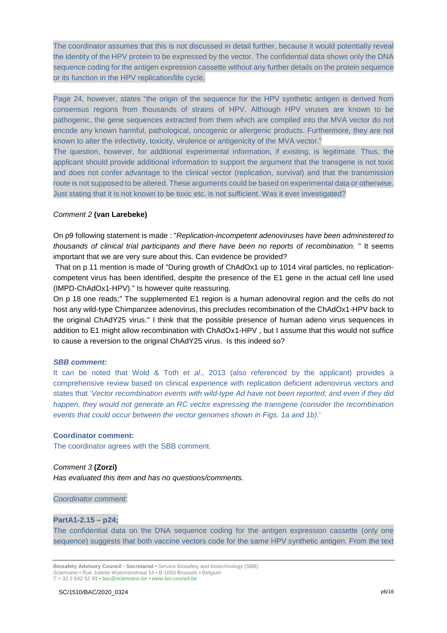The coordinator assumes that this is not discussed in detail further, because it would potentially reveal the identity of the HPV protein to be expressed by the vector. The confidential data shows only the DNA sequence coding for the antigen expression cassette without any further details on the protein sequence or its function in the HPV replication/life cycle.

Page 24, however, states "the origin of the sequence for the HPV synthetic antigen is derived from consensus regions from thousands of strains of HPV. Although HPV viruses are known to be pathogenic, the gene sequences extracted from them which are compiled into the MVA vector do not encode any known harmful, pathological, oncogenic or allergenic products. Furthermore, they are not known to alter the infectivity, toxicity, virulence or antigenicity of the MVA vector."

The question, however, for additional experimental information, if existing, is legitimate. Thus, the applicant should provide additional information to support the argument that the transgene is not toxic and does not confer advantage to the clinical vector (replication, survival) and that the transmission route is not supposed to be altered. These arguments could be based on experimental data or otherwise. Just stating that it is not known to be toxic etc. is not sufficient. Was it ever investigated?

# *Comment 2* **(van Larebeke)**

On p9 following statement is made : "*Replication-incompetent adenoviruses have been administered to thousands of clinical trial participants and there have been no reports of recombination.* " It seems important that we are very sure about this. Can evidence be provided?

That on p 11 mention is made of "During growth of ChAdOx1 up to 1014 viral particles, no replicationcompetent virus has been identified, despite the presence of the E1 gene in the actual cell line used (IMPD-ChAdOx1-HPV)." Is however quite reassuring.

On p 18 one reads;" The supplemented E1 region is a human adenoviral region and the cells do not host any wild-type Chimpanzee adenovirus, this precludes recombination of the ChAdOx1-HPV back to the original ChAdY25 virus." I think that the possible presence of human adeno virus sequences in addition to E1 might allow recombination with ChAdOx1-HPV , but I assume that this would not suffice to cause a reversion to the original ChAdY25 virus. Is this indeed so?

#### *SBB comment:*

It can be noted that Wold & Toth *et al*., 2013 (also referenced by the applicant) provides a comprehensive review based on clinical experience with replication deficient adenovirus vectors and states that '*Vector recombination events with wild-type Ad have not been reported; and even if they did happen, they would not generate an RC vector expressing the transgene (consider the recombination events that could occur between the vector genomes shown in Figs. 1a and 1b)*.'

#### **Coordinator comment:**

The coordinator agrees with the SBB comment.

# *Comment 3* **(Zorzi)**

*Has evaluated this item and has no questions/comments.*

*Coordinator comment:*

# **PartA1-2.15 – p24;**

The confidential data on the DNA sequence coding for the antigen expression cassette (only one sequence) suggests that both vaccine vectors code for the same HPV synthetic antigen. From the text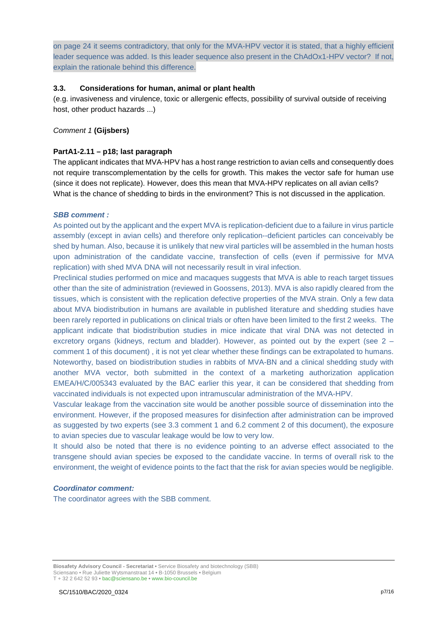on page 24 it seems contradictory, that only for the MVA-HPV vector it is stated, that a highly efficient leader sequence was added. Is this leader sequence also present in the ChAdOx1-HPV vector? If not, explain the rationale behind this difference.

# **3.3. Considerations for human, animal or plant health**

(e.g. invasiveness and virulence, toxic or allergenic effects, possibility of survival outside of receiving host, other product hazards ...)

# *Comment 1* **(Gijsbers)**

# **PartA1-2.11 – p18; last paragraph**

The applicant indicates that MVA-HPV has a host range restriction to avian cells and consequently does not require transcomplementation by the cells for growth. This makes the vector safe for human use (since it does not replicate). However, does this mean that MVA-HPV replicates on all avian cells? What is the chance of shedding to birds in the environment? This is not discussed in the application.

#### *SBB comment :*

As pointed out by the applicant and the expert MVA is replication-deficient due to a failure in virus particle assembly (except in avian cells) and therefore only replication--deficient particles can conceivably be shed by human. Also, because it is unlikely that new viral particles will be assembled in the human hosts upon administration of the candidate vaccine, transfection of cells (even if permissive for MVA replication) with shed MVA DNA will not necessarily result in viral infection.

Preclinical studies performed on mice and macaques suggests that MVA is able to reach target tissues other than the site of administration (reviewed in Goossens, 2013). MVA is also rapidly cleared from the tissues, which is consistent with the replication defective properties of the MVA strain. Only a few data about MVA biodistribution in humans are available in published literature and shedding studies have been rarely reported in publications on clinical trials or often have been limited to the first 2 weeks. The applicant indicate that biodistribution studies in mice indicate that viral DNA was not detected in excretory organs (kidneys, rectum and bladder). However, as pointed out by the expert (see 2 – comment 1 of this document) , it is not yet clear whether these findings can be extrapolated to humans. Noteworthy, based on biodistribution studies in rabbits of MVA-BN and a clinical shedding study with another MVA vector, both submitted in the context of a marketing authorization application EMEA/H/C/005343 evaluated by the BAC earlier this year, it can be considered that shedding from vaccinated individuals is not expected upon intramuscular administration of the MVA-HPV.

Vascular leakage from the vaccination site would be another possible source of dissemination into the environment. However, if the proposed measures for disinfection after administration can be improved as suggested by two experts (see 3.3 comment 1 and 6.2 comment 2 of this document), the exposure to avian species due to vascular leakage would be low to very low.

It should also be noted that there is no evidence pointing to an adverse effect associated to the transgene should avian species be exposed to the candidate vaccine. In terms of overall risk to the environment, the weight of evidence points to the fact that the risk for avian species would be negligible.

#### *Coordinator comment:*

The coordinator agrees with the SBB comment.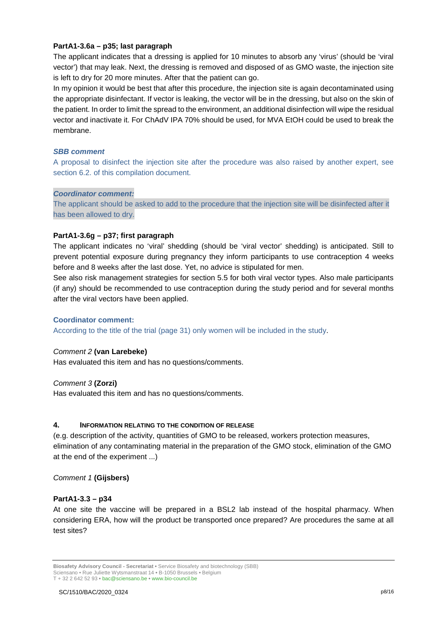# **PartA1-3.6a – p35; last paragraph**

The applicant indicates that a dressing is applied for 10 minutes to absorb any 'virus' (should be 'viral vector') that may leak. Next, the dressing is removed and disposed of as GMO waste, the injection site is left to dry for 20 more minutes. After that the patient can go.

In my opinion it would be best that after this procedure, the injection site is again decontaminated using the appropriate disinfectant. If vector is leaking, the vector will be in the dressing, but also on the skin of the patient. In order to limit the spread to the environment, an additional disinfection will wipe the residual vector and inactivate it. For ChAdV IPA 70% should be used, for MVA EtOH could be used to break the membrane.

#### *SBB comment*

A proposal to disinfect the injection site after the procedure was also raised by another expert, see section 6.2. of this compilation document.

#### *Coordinator comment:*

The applicant should be asked to add to the procedure that the injection site will be disinfected after it has been allowed to dry.

# **PartA1-3.6g – p37; first paragraph**

The applicant indicates no 'viral' shedding (should be 'viral vector' shedding) is anticipated. Still to prevent potential exposure during pregnancy they inform participants to use contraception 4 weeks before and 8 weeks after the last dose. Yet, no advice is stipulated for men.

See also risk management strategies for section 5.5 for both viral vector types. Also male participants (if any) should be recommended to use contraception during the study period and for several months after the viral vectors have been applied.

# **Coordinator comment:**

According to the title of the trial (page 31) only women will be included in the study.

# *Comment 2* **(van Larebeke)**

Has evaluated this item and has no questions/comments.

# *Comment 3* **(Zorzi)**

Has evaluated this item and has no questions/comments.

# **4. INFORMATION RELATING TO THE CONDITION OF RELEASE**

(e.g. description of the activity, quantities of GMO to be released, workers protection measures, elimination of any contaminating material in the preparation of the GMO stock, elimination of the GMO at the end of the experiment ...)

#### *Comment 1* **(Gijsbers)**

# **PartA1-3.3 – p34**

At one site the vaccine will be prepared in a BSL2 lab instead of the hospital pharmacy. When considering ERA, how will the product be transported once prepared? Are procedures the same at all test sites?

**Biosafety Advisory Council - Secretariat •** Service Biosafety and biotechnology (SBB) Sciensano • Rue Juliette Wytsmanstraat 14 **•** B-1050 Brussels **•** Belgium

T + 32 2 642 52 93 **•** bac@sciensano.be **•** www.bio-council.be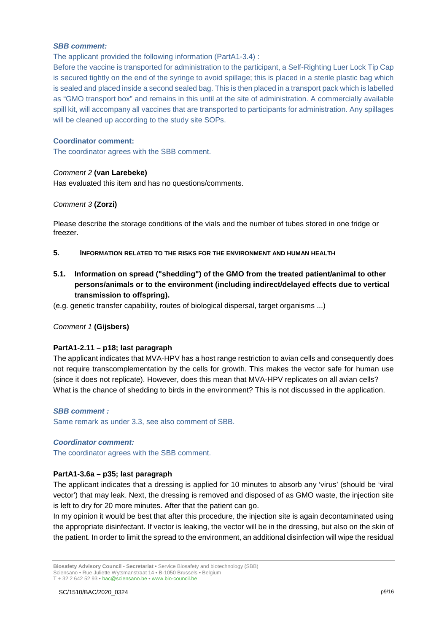#### *SBB comment:*

The applicant provided the following information (PartA1-3.4) :

Before the vaccine is transported for administration to the participant, a Self-Righting Luer Lock Tip Cap is secured tightly on the end of the syringe to avoid spillage; this is placed in a sterile plastic bag which is sealed and placed inside a second sealed bag. This is then placed in a transport pack which is labelled as "GMO transport box" and remains in this until at the site of administration. A commercially available spill kit, will accompany all vaccines that are transported to participants for administration. Any spillages will be cleaned up according to the study site SOPs.

# **Coordinator comment:**

The coordinator agrees with the SBB comment.

# *Comment 2* **(van Larebeke)**

Has evaluated this item and has no questions/comments.

# *Comment 3* **(Zorzi)**

Please describe the storage conditions of the vials and the number of tubes stored in one fridge or freezer.

- **5. INFORMATION RELATED TO THE RISKS FOR THE ENVIRONMENT AND HUMAN HEALTH**
- **5.1. Information on spread ("shedding") of the GMO from the treated patient/animal to other persons/animals or to the environment (including indirect/delayed effects due to vertical transmission to offspring).**
- (e.g. genetic transfer capability, routes of biological dispersal, target organisms ...)

#### *Comment 1* **(Gijsbers)**

# **PartA1-2.11 – p18; last paragraph**

The applicant indicates that MVA-HPV has a host range restriction to avian cells and consequently does not require transcomplementation by the cells for growth. This makes the vector safe for human use (since it does not replicate). However, does this mean that MVA-HPV replicates on all avian cells? What is the chance of shedding to birds in the environment? This is not discussed in the application.

#### *SBB comment :*

Same remark as under 3.3, see also comment of SBB.

#### *Coordinator comment:*

The coordinator agrees with the SBB comment.

# **PartA1-3.6a – p35; last paragraph**

The applicant indicates that a dressing is applied for 10 minutes to absorb any 'virus' (should be 'viral vector') that may leak. Next, the dressing is removed and disposed of as GMO waste, the injection site is left to dry for 20 more minutes. After that the patient can go.

In my opinion it would be best that after this procedure, the injection site is again decontaminated using the appropriate disinfectant. If vector is leaking, the vector will be in the dressing, but also on the skin of the patient. In order to limit the spread to the environment, an additional disinfection will wipe the residual

**Biosafety Advisory Council - Secretariat •** Service Biosafety and biotechnology (SBB) Sciensano • Rue Juliette Wytsmanstraat 14 **•** B-1050 Brussels **•** Belgium

T + 32 2 642 52 93 **•** bac@sciensano.be **•** www.bio-council.be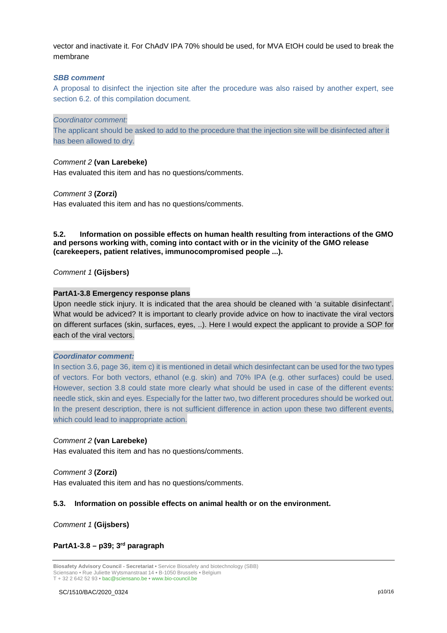vector and inactivate it. For ChAdV IPA 70% should be used, for MVA EtOH could be used to break the membrane

#### *SBB comment*

A proposal to disinfect the injection site after the procedure was also raised by another expert, see section 6.2. of this compilation document.

*Coordinator comment:*

The applicant should be asked to add to the procedure that the injection site will be disinfected after it has been allowed to dry.

# *Comment 2* **(van Larebeke)**

Has evaluated this item and has no questions/comments.

#### *Comment 3* **(Zorzi)**

Has evaluated this item and has no questions/comments.

#### **5.2. Information on possible effects on human health resulting from interactions of the GMO and persons working with, coming into contact with or in the vicinity of the GMO release (carekeepers, patient relatives, immunocompromised people ...).**

*Comment 1* **(Gijsbers)**

# **PartA1-3.8 Emergency response plans**

Upon needle stick injury. It is indicated that the area should be cleaned with 'a suitable disinfectant'. What would be adviced? It is important to clearly provide advice on how to inactivate the viral vectors on different surfaces (skin, surfaces, eyes, ..). Here I would expect the applicant to provide a SOP for each of the viral vectors.

#### *Coordinator comment:*

In section 3.6, page 36, item c) it is mentioned in detail which desinfectant can be used for the two types of vectors. For both vectors, ethanol (e.g. skin) and 70% IPA (e.g. other surfaces) could be used. However, section 3.8 could state more clearly what should be used in case of the different events: needle stick, skin and eyes. Especially for the latter two, two different procedures should be worked out. In the present description, there is not sufficient difference in action upon these two different events, which could lead to inappropriate action.

#### *Comment 2* **(van Larebeke)**

Has evaluated this item and has no questions/comments.

#### *Comment 3* **(Zorzi)**

Has evaluated this item and has no questions/comments.

#### **5.3. Information on possible effects on animal health or on the environment.**

*Comment 1* **(Gijsbers)**

# **PartA1-3.8 – p39; 3rd paragraph**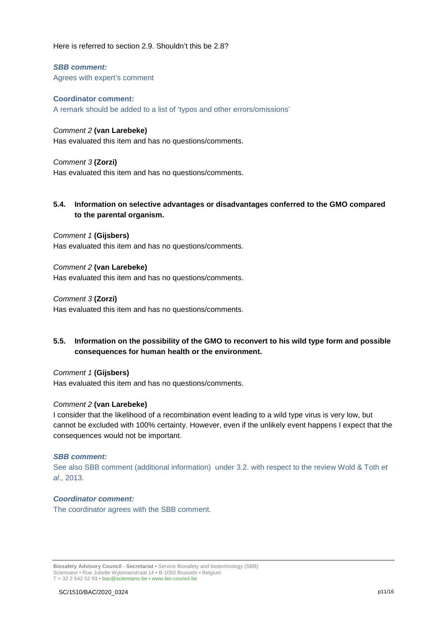Here is referred to section 2.9. Shouldn't this be 2.8?

*SBB comment:*  Agrees with expert's comment

**Coordinator comment:** A remark should be added to a list of 'typos and other errors/omissions'

# *Comment 2* **(van Larebeke)**

Has evaluated this item and has no questions/comments.

# *Comment 3* **(Zorzi)**

Has evaluated this item and has no questions/comments.

# **5.4. Information on selective advantages or disadvantages conferred to the GMO compared to the parental organism.**

*Comment 1* **(Gijsbers)** Has evaluated this item and has no questions/comments.

*Comment 2* **(van Larebeke)** Has evaluated this item and has no questions/comments.

*Comment 3* **(Zorzi)** Has evaluated this item and has no questions/comments.

# **5.5. Information on the possibility of the GMO to reconvert to his wild type form and possible consequences for human health or the environment.**

*Comment 1* **(Gijsbers)** Has evaluated this item and has no questions/comments.

# *Comment 2* **(van Larebeke)**

I consider that the likelihood of a recombination event leading to a wild type virus is very low, but cannot be excluded with 100% certainty. However, even if the unlikely event happens I expect that the consequences would not be important.

# *SBB comment:*

See also SBB comment (additional information) under 3.2. with respect to the review Wold & Toth *et al*., 2013.

# *Coordinator comment:*

The coordinator agrees with the SBB comment.

**Biosafety Advisory Council - Secretariat •** Service Biosafety and biotechnology (SBB) Sciensano • Rue Juliette Wytsmanstraat 14 **•** B-1050 Brussels **•** Belgium T + 32 2 642 52 93 **•** bac@sciensano.be **•** www.bio-council.be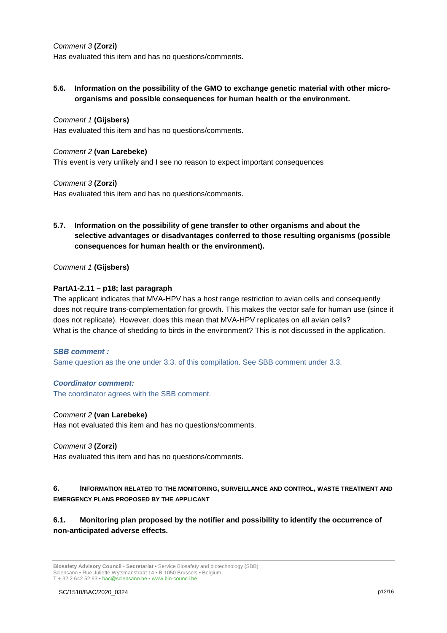# *Comment 3* **(Zorzi)**

Has evaluated this item and has no questions/comments.

**5.6. Information on the possibility of the GMO to exchange genetic material with other microorganisms and possible consequences for human health or the environment.**

#### *Comment 1* **(Gijsbers)**

Has evaluated this item and has no questions/comments.

#### *Comment 2* **(van Larebeke)**

This event is very unlikely and I see no reason to expect important consequences

#### *Comment 3* **(Zorzi)**

Has evaluated this item and has no questions/comments.

# **5.7. Information on the possibility of gene transfer to other organisms and about the selective advantages or disadvantages conferred to those resulting organisms (possible consequences for human health or the environment).**

*Comment 1* **(Gijsbers)**

# **PartA1-2.11 – p18; last paragraph**

The applicant indicates that MVA-HPV has a host range restriction to avian cells and consequently does not require trans-complementation for growth. This makes the vector safe for human use (since it does not replicate). However, does this mean that MVA-HPV replicates on all avian cells? What is the chance of shedding to birds in the environment? This is not discussed in the application.

#### *SBB comment :*

Same question as the one under 3.3. of this compilation. See SBB comment under 3.3.

#### *Coordinator comment:*

The coordinator agrees with the SBB comment.

#### *Comment 2* **(van Larebeke)**

Has not evaluated this item and has no questions/comments.

#### *Comment 3* **(Zorzi)**

Has evaluated this item and has no questions/comments*.*

# **6. INFORMATION RELATED TO THE MONITORING, SURVEILLANCE AND CONTROL, WASTE TREATMENT AND EMERGENCY PLANS PROPOSED BY THE APPLICANT**

**6.1. Monitoring plan proposed by the notifier and possibility to identify the occurrence of non-anticipated adverse effects.**

**Biosafety Advisory Council - Secretariat •** Service Biosafety and biotechnology (SBB) Sciensano • Rue Juliette Wytsmanstraat 14 **•** B-1050 Brussels **•** Belgium T + 32 2 642 52 93 **•** bac@sciensano.be **•** www.bio-council.be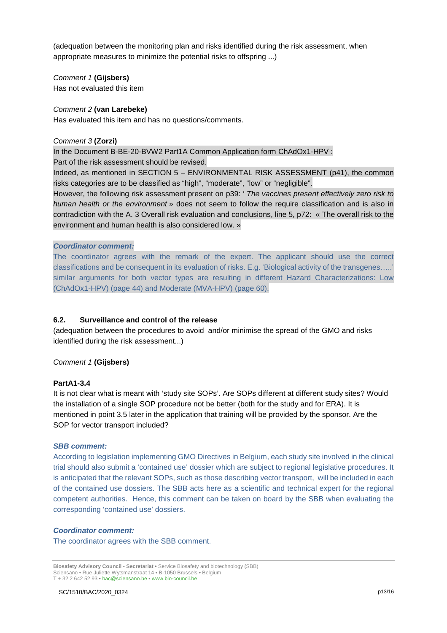(adequation between the monitoring plan and risks identified during the risk assessment, when appropriate measures to minimize the potential risks to offspring ...)

*Comment 1* **(Gijsbers)** Has not evaluated this item

# *Comment 2* **(van Larebeke)**

Has evaluated this item and has no questions/comments.

# *Comment 3* **(Zorzi)**

In the Document B-BE-20-BVW2 Part1A Common Application form ChAdOx1-HPV : Part of the risk assessment should be revised.

Indeed, as mentioned in SECTION 5 – ENVIRONMENTAL RISK ASSESSMENT (p41), the common risks categories are to be classified as "high", "moderate", "low" or "negligible".

However, the following risk assessment present on p39: ' *The vaccines present effectively zero risk to human health or the environment* » does not seem to follow the require classification and is also in contradiction with the A. 3 Overall risk evaluation and conclusions, line 5, p72: « The overall risk to the environment and human health is also considered low. »

# *Coordinator comment:*

The coordinator agrees with the remark of the expert. The applicant should use the correct classifications and be consequent in its evaluation of risks. E.g. 'Biological activity of the transgenes…..' similar arguments for both vector types are resulting in different Hazard Characterizations: Low (ChAdOx1-HPV) (page 44) and Moderate (MVA-HPV) (page 60).

# **6.2. Surveillance and control of the release**

(adequation between the procedures to avoid and/or minimise the spread of the GMO and risks identified during the risk assessment...)

# *Comment 1* **(Gijsbers)**

# **PartA1-3.4**

It is not clear what is meant with 'study site SOPs'. Are SOPs different at different study sites? Would the installation of a single SOP procedure not be better (both for the study and for ERA). It is mentioned in point 3.5 later in the application that training will be provided by the sponsor. Are the SOP for vector transport included?

#### *SBB comment:*

According to legislation implementing GMO Directives in Belgium, each study site involved in the clinical trial should also submit a 'contained use' dossier which are subject to regional legislative procedures. It is anticipated that the relevant SOPs, such as those describing vector transport, will be included in each of the contained use dossiers. The SBB acts here as a scientific and technical expert for the regional competent authorities. Hence, this comment can be taken on board by the SBB when evaluating the corresponding 'contained use' dossiers.

# *Coordinator comment:*

The coordinator agrees with the SBB comment.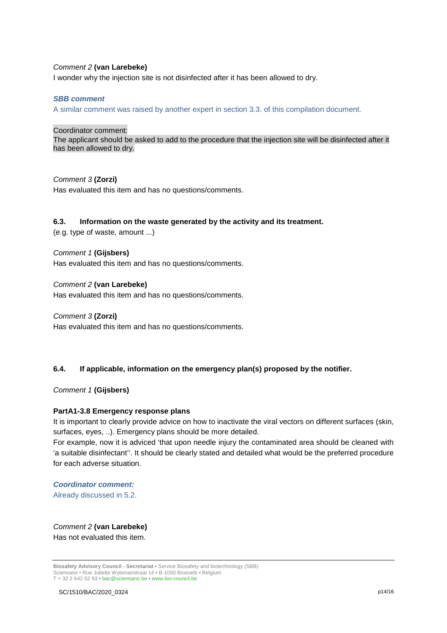#### *Comment 2* **(van Larebeke)**

I wonder why the injection site is not disinfected after it has been allowed to dry.

#### *SBB comment*

A similar comment was raised by another expert in section 3.3. of this compilation document.

Coordinator comment:

The applicant should be asked to add to the procedure that the injection site will be disinfected after it has been allowed to dry.

*Comment 3* **(Zorzi)** Has evaluated this item and has no questions/comments.

#### **6.3. Information on the waste generated by the activity and its treatment.**

(e.g. type of waste, amount ...)

*Comment 1* **(Gijsbers)** Has evaluated this item and has no questions/comments.

*Comment 2* **(van Larebeke)** Has evaluated this item and has no questions/comments.

*Comment 3* **(Zorzi)** Has evaluated this item and has no questions/comments.

#### **6.4. If applicable, information on the emergency plan(s) proposed by the notifier.**

*Comment 1* **(Gijsbers)**

#### **PartA1-3.8 Emergency response plans**

It is important to clearly provide advice on how to inactivate the viral vectors on different surfaces (skin, surfaces, eyes, ..). Emergency plans should be more detailed.

For example, now it is adviced 'that upon needle injury the contaminated area should be cleaned with 'a suitable disinfectant''. It should be clearly stated and detailed what would be the preferred procedure for each adverse situation.

*Coordinator comment:* Already discussed in 5.2.

*Comment 2* **(van Larebeke)** Has not evaluated this item.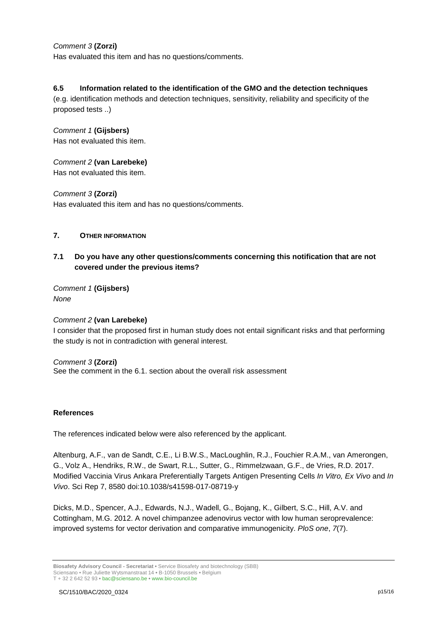# *Comment 3* **(Zorzi)**

Has evaluated this item and has no questions/comments.

# **6.5 Information related to the identification of the GMO and the detection techniques**

(e.g. identification methods and detection techniques, sensitivity, reliability and specificity of the proposed tests ..)

# *Comment 1* **(Gijsbers)**

Has not evaluated this item.

# *Comment 2* **(van Larebeke)**

Has not evaluated this item.

# *Comment 3* **(Zorzi)**

Has evaluated this item and has no questions/comments.

# **7. OTHER INFORMATION**

# **7.1 Do you have any other questions/comments concerning this notification that are not covered under the previous items?**

*Comment 1* **(Gijsbers)** *None* 

# *Comment 2* **(van Larebeke)** I consider that the proposed first in human study does not entail significant risks and that performing the study is not in contradiction with general interest.

# *Comment 3* **(Zorzi)** See the comment in the 6.1. section about the overall risk assessment

#### **References**

The references indicated below were also referenced by the applicant.

Altenburg, A.F., van de Sandt, C.E., Li B.W.S., MacLoughlin, R.J., Fouchier R.A.M., van Amerongen, G., Volz A., Hendriks, R.W., de Swart, R.L., Sutter, G., Rimmelzwaan, G.F., de Vries, R.D. 2017. Modified Vaccinia Virus Ankara Preferentially Targets Antigen Presenting Cells *In Vitro, Ex Vivo* and *In Vivo*. Sci Rep 7, 8580 doi:10.1038/s41598-017-08719-y

Dicks, M.D., Spencer, A.J., Edwards, N.J., Wadell, G., Bojang, K., Gilbert, S.C., Hill, A.V. and Cottingham, M.G. 2012. A novel chimpanzee adenovirus vector with low human seroprevalence: improved systems for vector derivation and comparative immunogenicity. *PloS one*, *7*(7).

**Biosafety Advisory Council - Secretariat •** Service Biosafety and biotechnology (SBB) Sciensano • Rue Juliette Wytsmanstraat 14 **•** B-1050 Brussels **•** Belgium